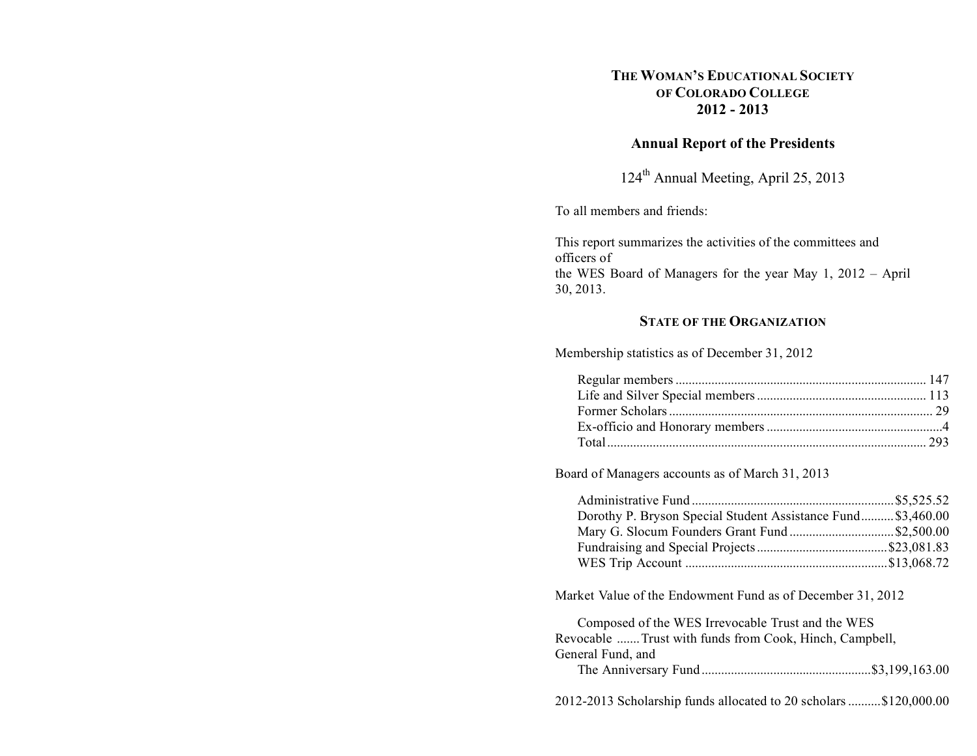# **THE WOMAN'S EDUCATIONAL SOCIETY OF COLORADO COLLEGE 2012 - 2013**

# **Annual Report of the Presidents**

124th Annual Meeting, April 25, 2013

To all members and friends:

This report summarizes the activities of the committees and officers of the WES Board of Managers for the year May 1, 2012 – April 30, 2013.

# **STATE OF THE ORGANIZATION**

Membership statistics as of December 31, 2012

Board of Managers accounts as of March 31, 2013

| Dorothy P. Bryson Special Student Assistance Fund \$3,460.00 |
|--------------------------------------------------------------|
| Mary G. Slocum Founders Grant Fund \$2,500.00                |
|                                                              |
|                                                              |
|                                                              |

Market Value of the Endowment Fund as of December 31, 2012

Composed of the WES Irrevocable Trust and the WES Revocable .......Trust with funds from Cook, Hinch, Campbell, General Fund, and The Anniversary Fund....................................................\$3,199,163.00

2012-2013 Scholarship funds allocated to 20 scholars..........\$120,000.00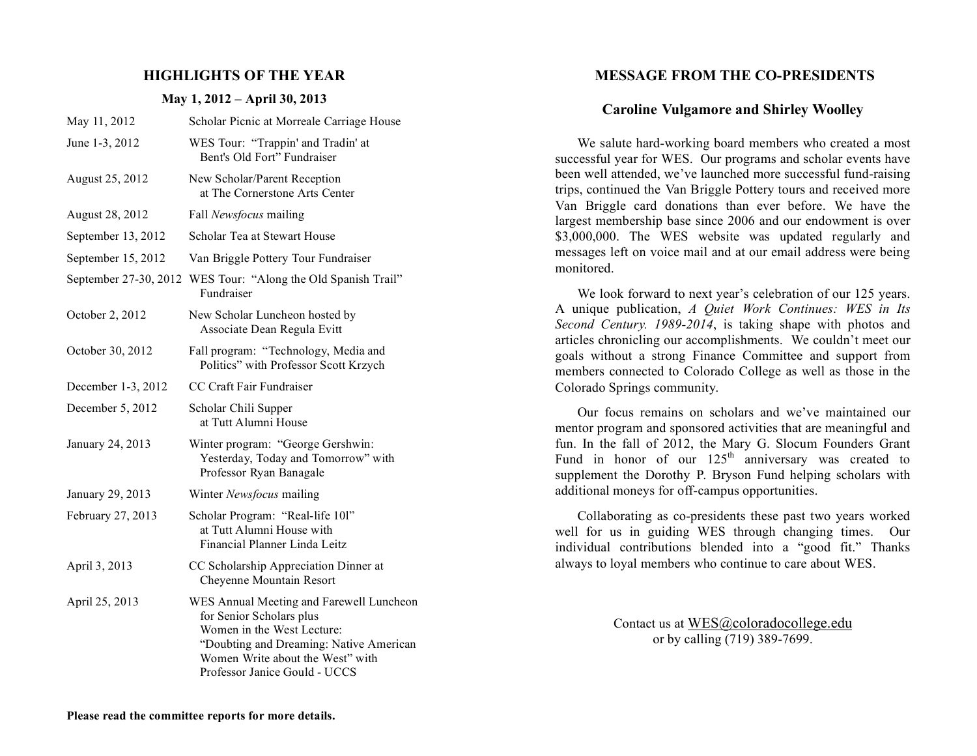### **HIGHLIGHTS OF THE YEAR**

#### **May 1, 2012 – April 30, 2013**

| May 11, 2012          | Scholar Picnic at Morreale Carriage House                                                                                                                                                                          |
|-----------------------|--------------------------------------------------------------------------------------------------------------------------------------------------------------------------------------------------------------------|
| June 1-3, 2012        | WES Tour: "Trappin' and Tradin' at<br>Bent's Old Fort" Fundraiser                                                                                                                                                  |
| August 25, 2012       | New Scholar/Parent Reception<br>at The Cornerstone Arts Center                                                                                                                                                     |
| August 28, 2012       | Fall Newsfocus mailing                                                                                                                                                                                             |
| September 13, 2012    | Scholar Tea at Stewart House                                                                                                                                                                                       |
| September 15, 2012    | Van Briggle Pottery Tour Fundraiser                                                                                                                                                                                |
| September 27-30, 2012 | WES Tour: "Along the Old Spanish Trail"<br>Fundraiser                                                                                                                                                              |
| October 2, 2012       | New Scholar Luncheon hosted by<br>Associate Dean Regula Evitt                                                                                                                                                      |
| October 30, 2012      | Fall program: "Technology, Media and<br>Politics" with Professor Scott Krzych                                                                                                                                      |
| December 1-3, 2012    | CC Craft Fair Fundraiser                                                                                                                                                                                           |
| December 5, 2012      | Scholar Chili Supper<br>at Tutt Alumni House                                                                                                                                                                       |
| January 24, 2013      | Winter program: "George Gershwin:<br>Yesterday, Today and Tomorrow" with<br>Professor Ryan Banagale                                                                                                                |
| January 29, 2013      | Winter Newsfocus mailing                                                                                                                                                                                           |
| February 27, 2013     | Scholar Program: "Real-life 10l"<br>at Tutt Alumni House with<br>Financial Planner Linda Leitz                                                                                                                     |
| April 3, 2013         | CC Scholarship Appreciation Dinner at<br>Cheyenne Mountain Resort                                                                                                                                                  |
| April 25, 2013        | WES Annual Meeting and Farewell Luncheon<br>for Senior Scholars plus<br>Women in the West Lecture:<br>"Doubting and Dreaming: Native American<br>Women Write about the West" with<br>Professor Janice Gould - UCCS |

### **MESSAGE FROM THE CO-PRESIDENTS**

### **Caroline Vulgamore and Shirley Woolley**

We salute hard-working board members who created a most successful year for WES. Our programs and scholar events have been well attended, we've launched more successful fund-raising trips, continued the Van Briggle Pottery tours and received more Van Briggle card donations than ever before. We have the largest membership base since 2006 and our endowment is over \$3,000,000. The WES website was updated regularly and messages left on voice mail and at our email address were being monitored.

We look forward to next year's celebration of our 125 years. A unique publication, *A Quiet Work Continues: WES in Its Second Century. 1989-2014*, is taking shape with photos and articles chronicling our accomplishments. We couldn't meet our goals without a strong Finance Committee and support from members connected to Colorado College as well as those in the Colorado Springs community.

Our focus remains on scholars and we've maintained our mentor program and sponsored activities that are meaningful and fun. In the fall of 2012, the Mary G. Slocum Founders Grant Fund in honor of our  $125<sup>th</sup>$  anniversary was created to supplement the Dorothy P. Bryson Fund helping scholars with additional moneys for off-campus opportunities.

Collaborating as co-presidents these past two years worked well for us in guiding WES through changing times. Our individual contributions blended into a "good fit." Thanks always to loyal members who continue to care about WES.

> Contact us at WES@coloradocollege.edu or by calling (719) 389-7699.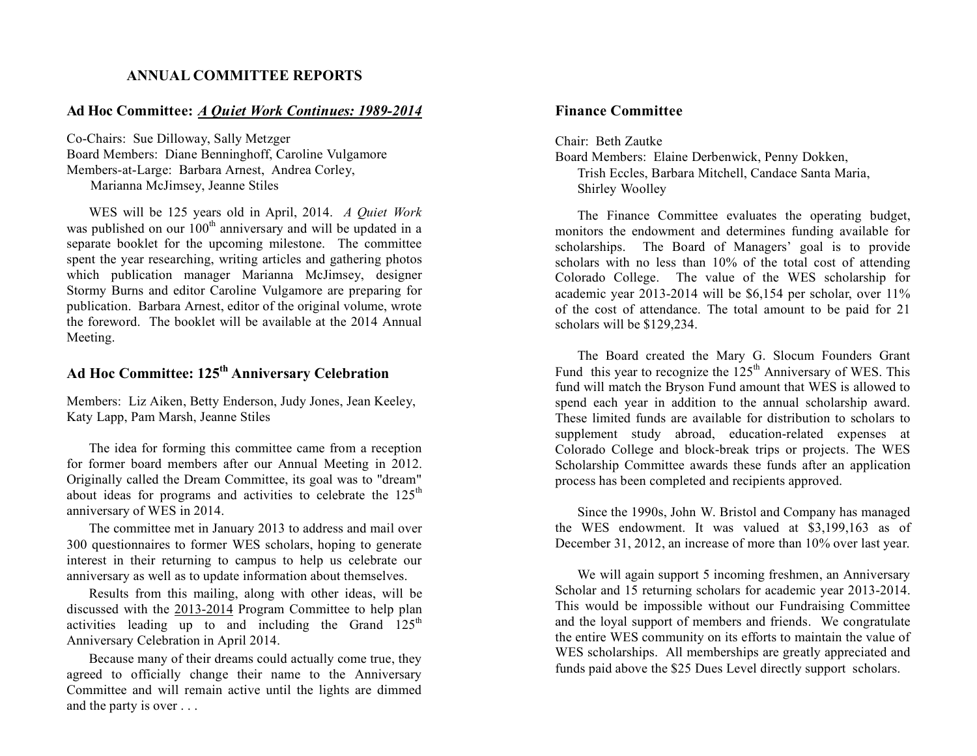# **ANNUAL COMMITTEE REPORTS**

### **Ad Hoc Committee:** *A Quiet Work Continues: 1989-2014*

Co-Chairs: Sue Dilloway, Sally Metzger Board Members: Diane Benninghoff, Caroline Vulgamore Members-at-Large: Barbara Arnest, Andrea Corley, Marianna McJimsey, Jeanne Stiles

WES will be 125 years old in April, 2014. *A Quiet Work*  was published on our  $100<sup>th</sup>$  anniversary and will be updated in a separate booklet for the upcoming milestone. The committee spent the year researching, writing articles and gathering photos which publication manager Marianna McJimsey, designer Stormy Burns and editor Caroline Vulgamore are preparing for publication. Barbara Arnest, editor of the original volume, wrote the foreword. The booklet will be available at the 2014 Annual Meeting.

# **Ad Hoc Committee: 125th Anniversary Celebration**

Members: Liz Aiken, Betty Enderson, Judy Jones, Jean Keeley, Katy Lapp, Pam Marsh, Jeanne Stiles

The idea for forming this committee came from a reception for former board members after our Annual Meeting in 2012. Originally called the Dream Committee, its goal was to "dream" about ideas for programs and activities to celebrate the  $125<sup>th</sup>$ anniversary of WES in 2014.

The committee met in January 2013 to address and mail over 300 questionnaires to former WES scholars, hoping to generate interest in their returning to campus to help us celebrate our anniversary as well as to update information about themselves.

Results from this mailing, along with other ideas, will be discussed with the 2013-2014 Program Committee to help plan activities leading up to and including the Grand  $125<sup>th</sup>$ Anniversary Celebration in April 2014.

Because many of their dreams could actually come true, they agreed to officially change their name to the Anniversary Committee and will remain active until the lights are dimmed and the party is over . . .

# **Finance Committee**

Chair: Beth Zautke Board Members: Elaine Derbenwick, Penny Dokken, Trish Eccles, Barbara Mitchell, Candace Santa Maria, Shirley Woolley

The Finance Committee evaluates the operating budget, monitors the endowment and determines funding available for scholarships. The Board of Managers' goal is to provide scholars with no less than 10% of the total cost of attending Colorado College. The value of the WES scholarship for academic year 2013-2014 will be \$6,154 per scholar, over 11% of the cost of attendance. The total amount to be paid for 21 scholars will be \$129,234.

The Board created the Mary G. Slocum Founders Grant Fund this year to recognize the  $125<sup>th</sup>$  Anniversary of WES. This fund will match the Bryson Fund amount that WES is allowed to spend each year in addition to the annual scholarship award. These limited funds are available for distribution to scholars to supplement study abroad, education-related expenses at Colorado College and block-break trips or projects. The WES Scholarship Committee awards these funds after an application process has been completed and recipients approved.

Since the 1990s, John W. Bristol and Company has managed the WES endowment. It was valued at \$3,199,163 as of December 31, 2012, an increase of more than 10% over last year.

We will again support 5 incoming freshmen, an Anniversary Scholar and 15 returning scholars for academic year 2013-2014. This would be impossible without our Fundraising Committee and the loyal support of members and friends. We congratulate the entire WES community on its efforts to maintain the value of WES scholarships. All memberships are greatly appreciated and funds paid above the \$25 Dues Level directly support scholars.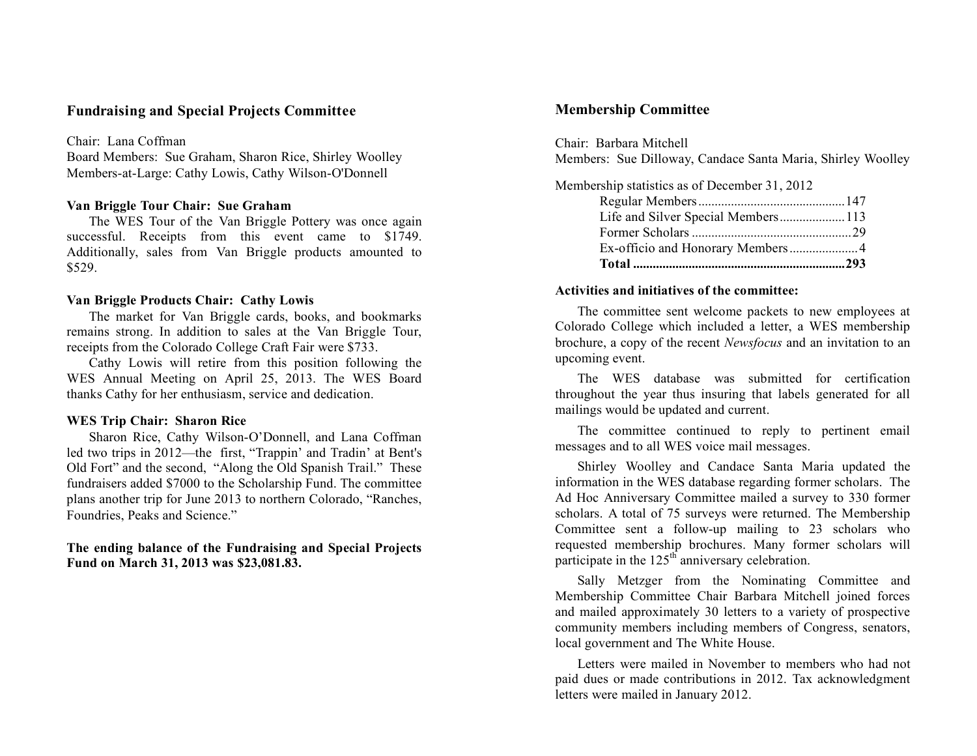### **Fundraising and Special Projects Committee**

#### Chair: Lana Coffman

Board Members: Sue Graham, Sharon Rice, Shirley Woolley Members-at-Large: Cathy Lowis, Cathy Wilson-O'Donnell

### **Van Briggle Tour Chair: Sue Graham**

The WES Tour of the Van Briggle Pottery was once again successful. Receipts from this event came to \$1749. Additionally, sales from Van Briggle products amounted to \$529.

#### **Van Briggle Products Chair: Cathy Lowis**

The market for Van Briggle cards, books, and bookmarks remains strong. In addition to sales at the Van Briggle Tour, receipts from the Colorado College Craft Fair were \$733.

Cathy Lowis will retire from this position following the WES Annual Meeting on April 25, 2013. The WES Board thanks Cathy for her enthusiasm, service and dedication.

### **WES Trip Chair: Sharon Rice**

Sharon Rice, Cathy Wilson-O'Donnell, and Lana Coffman led two trips in 2012—the first, "Trappin' and Tradin' at Bent's Old Fort" and the second, "Along the Old Spanish Trail." These fundraisers added \$7000 to the Scholarship Fund. The committee plans another trip for June 2013 to northern Colorado, "Ranches, Foundries, Peaks and Science."

### **The ending balance of the Fundraising and Special Projects Fund on March 31, 2013 was \$23,081.83.**

# **Membership Committee**

Chair: Barbara Mitchell Members: Sue Dilloway, Candace Santa Maria, Shirley Woolley

| Membership statistics as of December 31, 2012 |  |
|-----------------------------------------------|--|
|                                               |  |
| Life and Silver Special Members113            |  |
|                                               |  |
|                                               |  |
|                                               |  |

### **Activities and initiatives of the committee:**

The committee sent welcome packets to new employees at Colorado College which included a letter, a WES membership brochure, a copy of the recent *Newsfocus* and an invitation to an upcoming event.

The WES database was submitted for certification throughout the year thus insuring that labels generated for all mailings would be updated and current.

The committee continued to reply to pertinent email messages and to all WES voice mail messages.

Shirley Woolley and Candace Santa Maria updated the information in the WES database regarding former scholars. The Ad Hoc Anniversary Committee mailed a survey to 330 former scholars. A total of 75 surveys were returned. The Membership Committee sent a follow-up mailing to 23 scholars who requested membership brochures. Many former scholars will participate in the  $125<sup>th</sup>$  anniversary celebration.

Sally Metzger from the Nominating Committee and Membership Committee Chair Barbara Mitchell joined forces and mailed approximately 30 letters to a variety of prospective community members including members of Congress, senators, local government and The White House.

Letters were mailed in November to members who had not paid dues or made contributions in 2012. Tax acknowledgment letters were mailed in January 2012.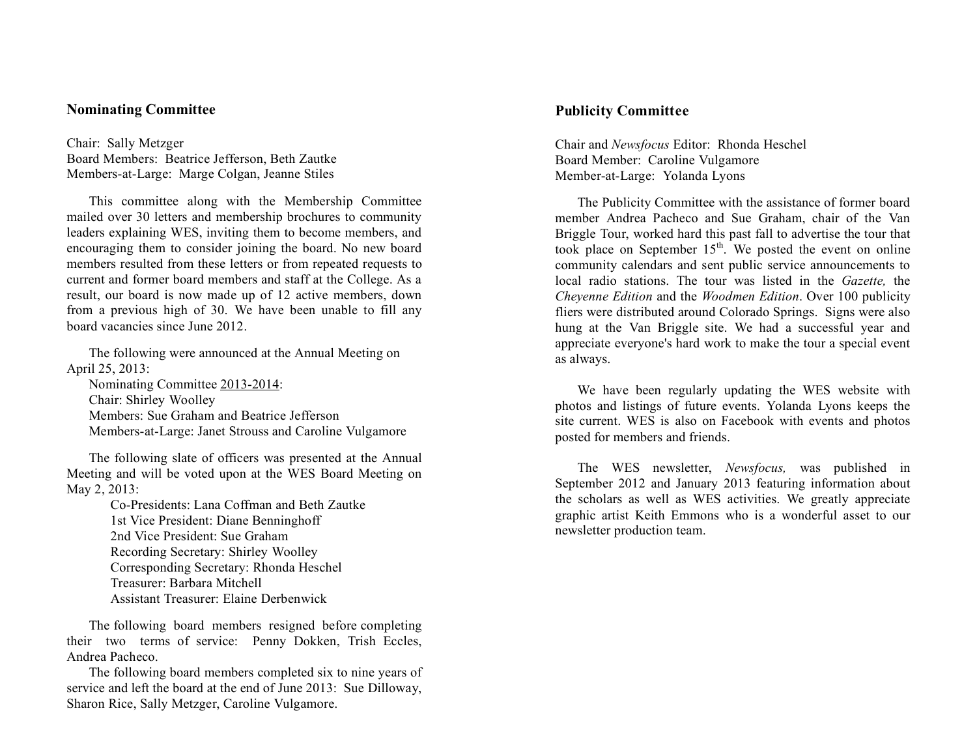### **Nominating Committee**

Chair: Sally Metzger Board Members: Beatrice Jefferson, Beth Zautke Members-at-Large: Marge Colgan, Jeanne Stiles

This committee along with the Membership Committee mailed over 30 letters and membership brochures to community leaders explaining WES, inviting them to become members, and encouraging them to consider joining the board. No new board members resulted from these letters or from repeated requests to current and former board members and staff at the College. As a result, our board is now made up of 12 active members, down from a previous high of 30. We have been unable to fill any board vacancies since June 2012.

The following were announced at the Annual Meeting on April 25, 2013:

Nominating Committee 2013-2014: Chair: Shirley Woolley Members: Sue Graham and Beatrice Jefferson Members-at-Large: Janet Strouss and Caroline Vulgamore

The following slate of officers was presented at the Annual Meeting and will be voted upon at the WES Board Meeting on May 2, 2013:

> Co-Presidents: Lana Coffman and Beth Zautke 1st Vice President: Diane Benninghoff 2nd Vice President: Sue Graham Recording Secretary: Shirley Woolley Corresponding Secretary: Rhonda Heschel Treasurer: Barbara Mitchell Assistant Treasurer: Elaine Derbenwick

The following board members resigned before completing their two terms of service: Penny Dokken, Trish Eccles, Andrea Pacheco.

The following board members completed six to nine years of service and left the board at the end of June 2013: Sue Dilloway, Sharon Rice, Sally Metzger, Caroline Vulgamore.

# **Publicity Committee**

Chair and *Newsfocus* Editor: Rhonda Heschel Board Member: Caroline Vulgamore Member-at-Large: Yolanda Lyons

The Publicity Committee with the assistance of former board member Andrea Pacheco and Sue Graham, chair of the Van Briggle Tour, worked hard this past fall to advertise the tour that took place on September  $15<sup>th</sup>$ . We posted the event on online community calendars and sent public service announcements to local radio stations. The tour was listed in the *Gazette,* the *Cheyenne Edition* and the *Woodmen Edition*. Over 100 publicity fliers were distributed around Colorado Springs. Signs were also hung at the Van Briggle site. We had a successful year and appreciate everyone's hard work to make the tour a special event as always.

We have been regularly updating the WES website with photos and listings of future events. Yolanda Lyons keeps the site current. WES is also on Facebook with events and photos posted for members and friends.

The WES newsletter, *Newsfocus,* was published in September 2012 and January 2013 featuring information about the scholars as well as WES activities. We greatly appreciate graphic artist Keith Emmons who is a wonderful asset to our newsletter production team.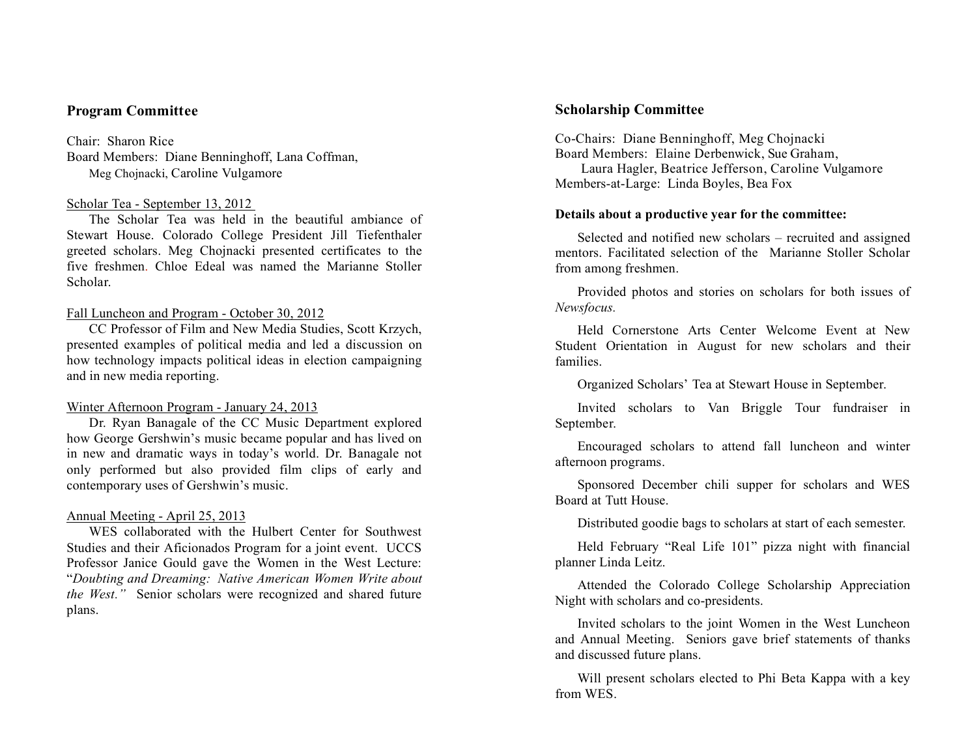# **Program Committee**

Chair: Sharon Rice Board Members: Diane Benninghoff, Lana Coffman, Meg Chojnacki, Caroline Vulgamore

#### Scholar Tea - September 13, 2012

The Scholar Tea was held in the beautiful ambiance of Stewart House. Colorado College President Jill Tiefenthaler greeted scholars. Meg Chojnacki presented certificates to the five freshmen. Chloe Edeal was named the Marianne Stoller Scholar.

#### Fall Luncheon and Program - October 30, 2012

CC Professor of Film and New Media Studies, Scott Krzych, presented examples of political media and led a discussion on how technology impacts political ideas in election campaigning and in new media reporting.

### Winter Afternoon Program - January 24, 2013

Dr. Ryan Banagale of the CC Music Department explored how George Gershwin's music became popular and has lived on in new and dramatic ways in today's world. Dr. Banagale not only performed but also provided film clips of early and contemporary uses of Gershwin's music.

#### Annual Meeting - April 25, 2013

WES collaborated with the Hulbert Center for Southwest Studies and their Aficionados Program for a joint event. UCCS Professor Janice Gould gave the Women in the West Lecture: "*Doubting and Dreaming: Native American Women Write about the West."* Senior scholars were recognized and shared future plans.

# **Scholarship Committee**

Co-Chairs: Diane Benninghoff, Meg Chojnacki Board Members: Elaine Derbenwick, Sue Graham,

 Laura Hagler, Beatrice Jefferson, Caroline Vulgamore Members-at-Large: Linda Boyles, Bea Fox

#### **Details about a productive year for the committee:**

Selected and notified new scholars – recruited and assigned mentors. Facilitated selection of the Marianne Stoller Scholar from among freshmen.

Provided photos and stories on scholars for both issues of *Newsfocus.*

Held Cornerstone Arts Center Welcome Event at New Student Orientation in August for new scholars and their families.

Organized Scholars' Tea at Stewart House in September.

Invited scholars to Van Briggle Tour fundraiser in September.

Encouraged scholars to attend fall luncheon and winter afternoon programs.

Sponsored December chili supper for scholars and WES Board at Tutt House.

Distributed goodie bags to scholars at start of each semester.

Held February "Real Life 101" pizza night with financial planner Linda Leitz.

Attended the Colorado College Scholarship Appreciation Night with scholars and co-presidents.

Invited scholars to the joint Women in the West Luncheon and Annual Meeting. Seniors gave brief statements of thanks and discussed future plans.

Will present scholars elected to Phi Beta Kappa with a key from WES.